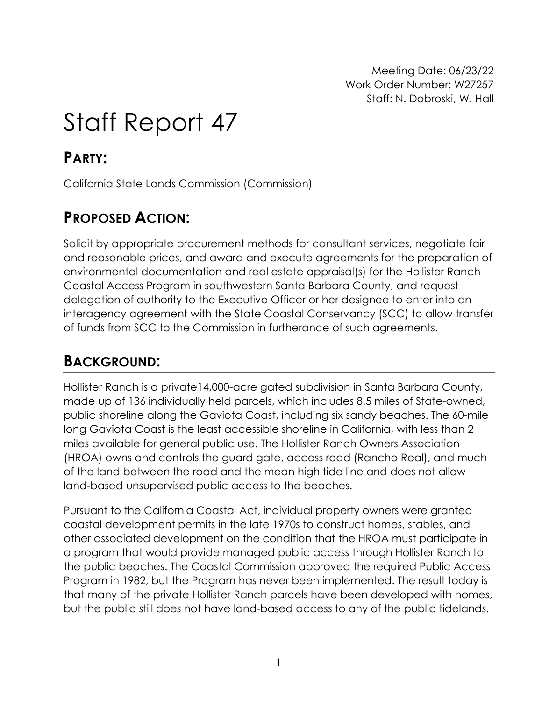Meeting Date: 06/23/22 Work Order Number: W27257 Staff: N. Dobroski, W. Hall

# Staff Report 47

### **PARTY:**

California State Lands Commission (Commission)

# **PROPOSED ACTION:**

Solicit by appropriate procurement methods for consultant services, negotiate fair and reasonable prices, and award and execute agreements for the preparation of environmental documentation and real estate appraisal(s) for the Hollister Ranch Coastal Access Program in southwestern Santa Barbara County, and request delegation of authority to the Executive Officer or her designee to enter into an interagency agreement with the State Coastal Conservancy (SCC) to allow transfer of funds from SCC to the Commission in furtherance of such agreements.

### **BACKGROUND:**

Hollister Ranch is a private14,000-acre gated subdivision in Santa Barbara County, made up of 136 individually held parcels, which includes 8.5 miles of State-owned, public shoreline along the Gaviota Coast, including six sandy beaches. The 60-mile long Gaviota Coast is the least accessible shoreline in California, with less than 2 miles available for general public use. The Hollister Ranch Owners Association (HROA) owns and controls the guard gate, access road (Rancho Real), and much of the land between the road and the mean high tide line and does not allow land-based unsupervised public access to the beaches.

Pursuant to the California Coastal Act, individual property owners were granted coastal development permits in the late 1970s to construct homes, stables, and other associated development on the condition that the HROA must participate in a program that would provide managed public access through Hollister Ranch to the public beaches. The Coastal Commission approved the required Public Access Program in 1982, but the Program has never been implemented. The result today is that many of the private Hollister Ranch parcels have been developed with homes, but the public still does not have land-based access to any of the public tidelands.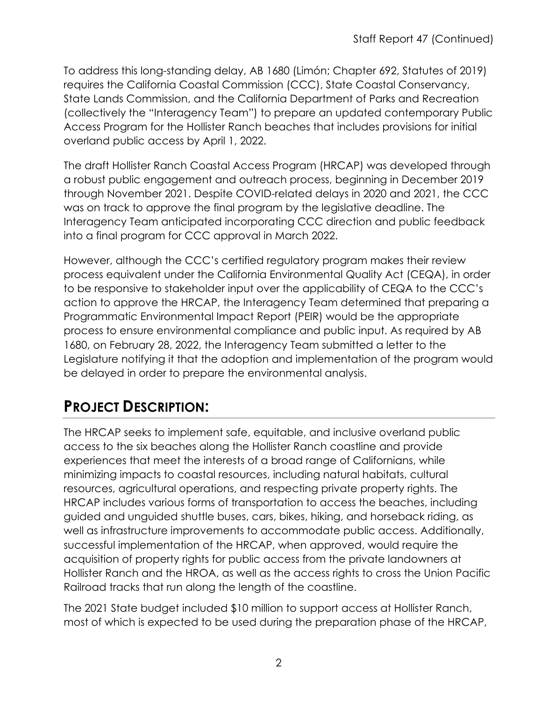To address this long-standing delay, AB 1680 (Limón; Chapter 692, Statutes of 2019) requires the California Coastal Commission (CCC), State Coastal Conservancy, State Lands Commission, and the California Department of Parks and Recreation (collectively the "Interagency Team") to prepare an updated contemporary Public Access Program for the Hollister Ranch beaches that includes provisions for initial overland public access by April 1, 2022.

The draft Hollister Ranch Coastal Access Program (HRCAP) was developed through a robust public engagement and outreach process, beginning in December 2019 through November 2021. Despite COVID-related delays in 2020 and 2021, the CCC was on track to approve the final program by the legislative deadline. The Interagency Team anticipated incorporating CCC direction and public feedback into a final program for CCC approval in March 2022.

However, although the CCC's certified regulatory program makes their review process equivalent under the California Environmental Quality Act (CEQA), in order to be responsive to stakeholder input over the applicability of CEQA to the CCC's action to approve the HRCAP, the Interagency Team determined that preparing a Programmatic Environmental Impact Report (PEIR) would be the appropriate process to ensure environmental compliance and public input. As required by AB 1680, on February 28, 2022, the Interagency Team submitted a letter to the Legislature notifying it that the adoption and implementation of the program would be delayed in order to prepare the environmental analysis.

# **PROJECT DESCRIPTION:**

The HRCAP seeks to implement safe, equitable, and inclusive overland public access to the six beaches along the Hollister Ranch coastline and provide experiences that meet the interests of a broad range of Californians, while minimizing impacts to coastal resources, including natural habitats, cultural resources, agricultural operations, and respecting private property rights. The HRCAP includes various forms of transportation to access the beaches, including guided and unguided shuttle buses, cars, bikes, hiking, and horseback riding, as well as infrastructure improvements to accommodate public access. Additionally, successful implementation of the HRCAP, when approved, would require the acquisition of property rights for public access from the private landowners at Hollister Ranch and the HROA, as well as the access rights to cross the Union Pacific Railroad tracks that run along the length of the coastline.

The 2021 State budget included \$10 million to support access at Hollister Ranch, most of which is expected to be used during the preparation phase of the HRCAP,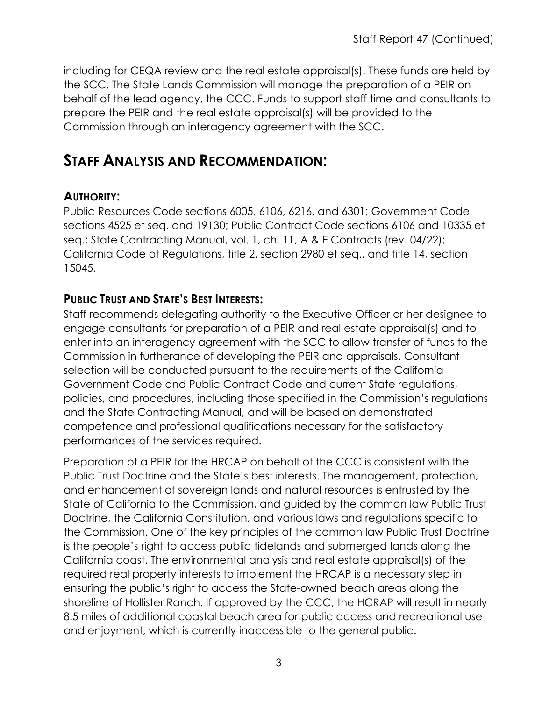including for CEQA review and the real estate appraisal(s). These funds are held by the SCC. The State Lands Commission will manage the preparation of a PEIR on behalf of the lead agency, the CCC. Funds to support staff time and consultants to prepare the PEIR and the real estate appraisal(s) will be provided to the Commission through an interagency agreement with the SCC.

### **STAFF ANALYSIS AND RECOMMENDATION:**

#### **AUTHORITY:**

Public Resources Code sections 6005, 6106, 6216, and 6301; Government Code sections 4525 et seq. and 19130; Public Contract Code sections 6106 and 10335 et seq.; State Contracting Manual, vol. 1, ch. 11, A & E Contracts (rev. 04/22); California Code of Regulations, title 2, section 2980 et seq., and title 14, section 15045.

#### **PUBLIC TRUST AND STATE'S BEST INTERESTS:**

Staff recommends delegating authority to the Executive Officer or her designee to engage consultants for preparation of a PEIR and real estate appraisal(s) and to enter into an interagency agreement with the SCC to allow transfer of funds to the Commission in furtherance of developing the PEIR and appraisals. Consultant selection will be conducted pursuant to the requirements of the California Government Code and Public Contract Code and current State regulations, policies, and procedures, including those specified in the Commission's regulations and the State Contracting Manual, and will be based on demonstrated competence and professional qualifications necessary for the satisfactory performances of the services required.

Preparation of a PEIR for the HRCAP on behalf of the CCC is consistent with the Public Trust Doctrine and the State's best interests. The management, protection, and enhancement of sovereign lands and natural resources is entrusted by the State of California to the Commission, and guided by the common law Public Trust Doctrine, the California Constitution, and various laws and regulations specific to the Commission. One of the key principles of the common law Public Trust Doctrine is the people's right to access public tidelands and submerged lands along the California coast. The environmental analysis and real estate appraisal(s) of the required real property interests to implement the HRCAP is a necessary step in ensuring the public's right to access the State-owned beach areas along the shoreline of Hollister Ranch. If approved by the CCC, the HCRAP will result in nearly 8.5 miles of additional coastal beach area for public access and recreational use and enjoyment, which is currently inaccessible to the general public.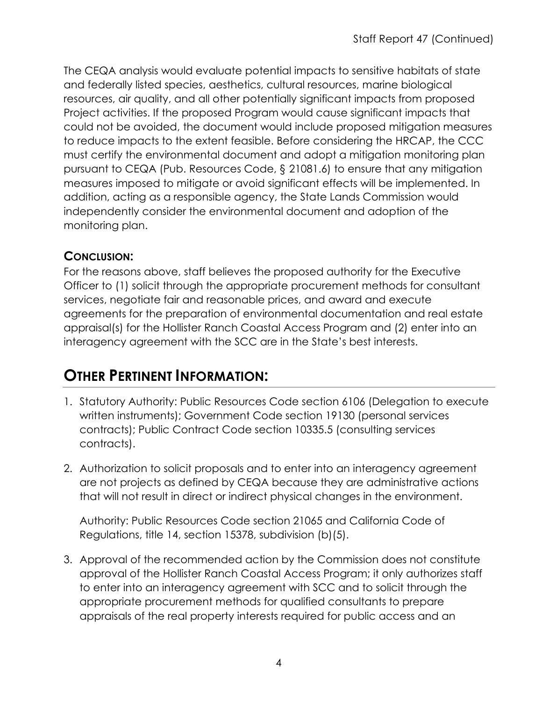The CEQA analysis would evaluate potential impacts to sensitive habitats of state and federally listed species, aesthetics, cultural resources, marine biological resources, air quality, and all other potentially significant impacts from proposed Project activities. If the proposed Program would cause significant impacts that could not be avoided, the document would include proposed mitigation measures to reduce impacts to the extent feasible. Before considering the HRCAP, the CCC must certify the environmental document and adopt a mitigation monitoring plan pursuant to CEQA (Pub. Resources Code, § 21081.6) to ensure that any mitigation measures imposed to mitigate or avoid significant effects will be implemented. In addition, acting as a responsible agency, the State Lands Commission would independently consider the environmental document and adoption of the monitoring plan.

#### **CONCLUSION:**

For the reasons above, staff believes the proposed authority for the Executive Officer to (1) solicit through the appropriate procurement methods for consultant services, negotiate fair and reasonable prices, and award and execute agreements for the preparation of environmental documentation and real estate appraisal(s) for the Hollister Ranch Coastal Access Program and (2) enter into an interagency agreement with the SCC are in the State's best interests.

# **OTHER PERTINENT INFORMATION:**

- 1. Statutory Authority: Public Resources Code section 6106 (Delegation to execute written instruments); Government Code section 19130 (personal services contracts); Public Contract Code section 10335.5 (consulting services contracts).
- 2. Authorization to solicit proposals and to enter into an interagency agreement are not projects as defined by CEQA because they are administrative actions that will not result in direct or indirect physical changes in the environment.

Authority: Public Resources Code section 21065 and California Code of Regulations, title 14, section 15378, subdivision (b)(5).

3. Approval of the recommended action by the Commission does not constitute approval of the Hollister Ranch Coastal Access Program; it only authorizes staff to enter into an interagency agreement with SCC and to solicit through the appropriate procurement methods for qualified consultants to prepare appraisals of the real property interests required for public access and an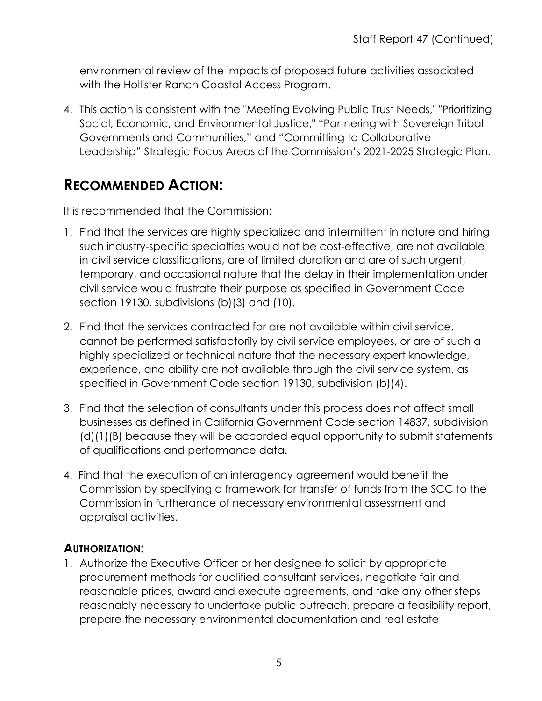environmental review of the impacts of proposed future activities associated with the Hollister Ranch Coastal Access Program.

4. This action is consistent with the "Meeting Evolving Public Trust Needs," "Prioritizing Social, Economic, and Environmental Justice," "Partnering with Sovereign Tribal Governments and Communities," and "Committing to Collaborative Leadership" Strategic Focus Areas of the Commission's 2021-2025 Strategic Plan.

## **RECOMMENDED ACTION:**

It is recommended that the Commission:

- 1. Find that the services are highly specialized and intermittent in nature and hiring such industry-specific specialties would not be cost-effective, are not available in civil service classifications, are of limited duration and are of such urgent, temporary, and occasional nature that the delay in their implementation under civil service would frustrate their purpose as specified in Government Code section 19130, subdivisions (b)(3) and (10).
- 2. Find that the services contracted for are not available within civil service, cannot be performed satisfactorily by civil service employees, or are of such a highly specialized or technical nature that the necessary expert knowledge, experience, and ability are not available through the civil service system, as specified in Government Code section 19130, subdivision (b)(4).
- 3. Find that the selection of consultants under this process does not affect small businesses as defined in California Government Code section 14837, subdivision (d)(1)(B) because they will be accorded equal opportunity to submit statements of qualifications and performance data.
- 4. Find that the execution of an interagency agreement would benefit the Commission by specifying a framework for transfer of funds from the SCC to the Commission in furtherance of necessary environmental assessment and appraisal activities.

#### **AUTHORIZATION:**

1. Authorize the Executive Officer or her designee to solicit by appropriate procurement methods for qualified consultant services, negotiate fair and reasonable prices, award and execute agreements, and take any other steps reasonably necessary to undertake public outreach, prepare a feasibility report, prepare the necessary environmental documentation and real estate